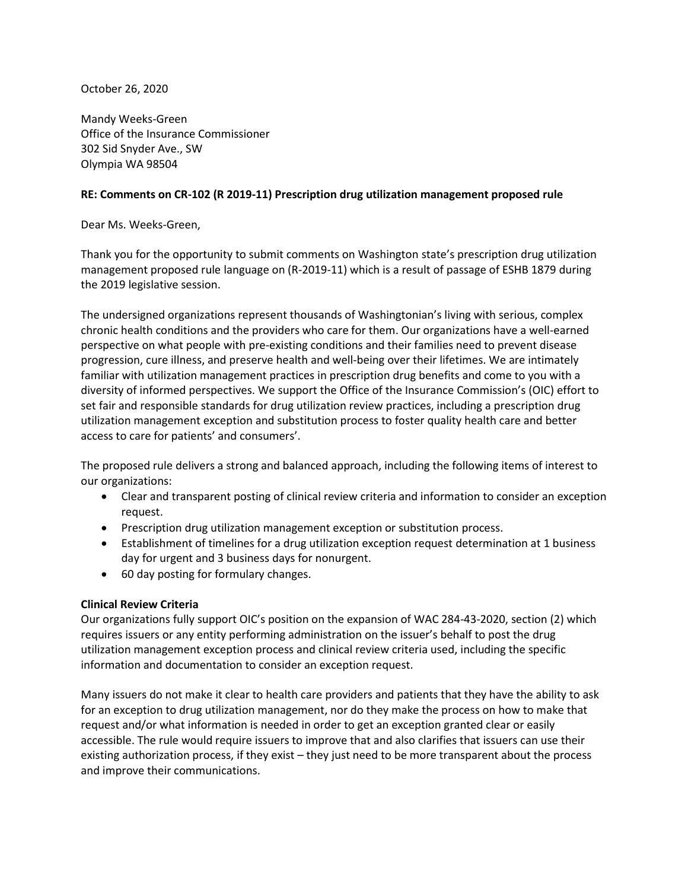October 26, 2020

Mandy Weeks-Green Office of the Insurance Commissioner 302 Sid Snyder Ave., SW Olympia WA 98504

### **RE: Comments on CR-102 (R 2019-11) Prescription drug utilization management proposed rule**

Dear Ms. Weeks-Green,

Thank you for the opportunity to submit comments on Washington state's prescription drug utilization management proposed rule language on (R-2019-11) which is a result of passage of ESHB 1879 during the 2019 legislative session.

The undersigned organizations represent thousands of Washingtonian's living with serious, complex chronic health conditions and the providers who care for them. Our organizations have a well-earned perspective on what people with pre-existing conditions and their families need to prevent disease progression, cure illness, and preserve health and well-being over their lifetimes. We are intimately familiar with utilization management practices in prescription drug benefits and come to you with a diversity of informed perspectives. We support the Office of the Insurance Commission's (OIC) effort to set fair and responsible standards for drug utilization review practices, including a prescription drug utilization management exception and substitution process to foster quality health care and better access to care for patients' and consumers'.

The proposed rule delivers a strong and balanced approach, including the following items of interest to our organizations:

- Clear and transparent posting of clinical review criteria and information to consider an exception request.
- Prescription drug utilization management exception or substitution process.
- Establishment of timelines for a drug utilization exception request determination at 1 business day for urgent and 3 business days for nonurgent.
- 60 day posting for formulary changes.

### **Clinical Review Criteria**

Our organizations fully support OIC's position on the expansion of WAC 284-43-2020, section (2) which requires issuers or any entity performing administration on the issuer's behalf to post the drug utilization management exception process and clinical review criteria used, including the specific information and documentation to consider an exception request.

Many issuers do not make it clear to health care providers and patients that they have the ability to ask for an exception to drug utilization management, nor do they make the process on how to make that request and/or what information is needed in order to get an exception granted clear or easily accessible. The rule would require issuers to improve that and also clarifies that issuers can use their existing authorization process, if they exist – they just need to be more transparent about the process and improve their communications.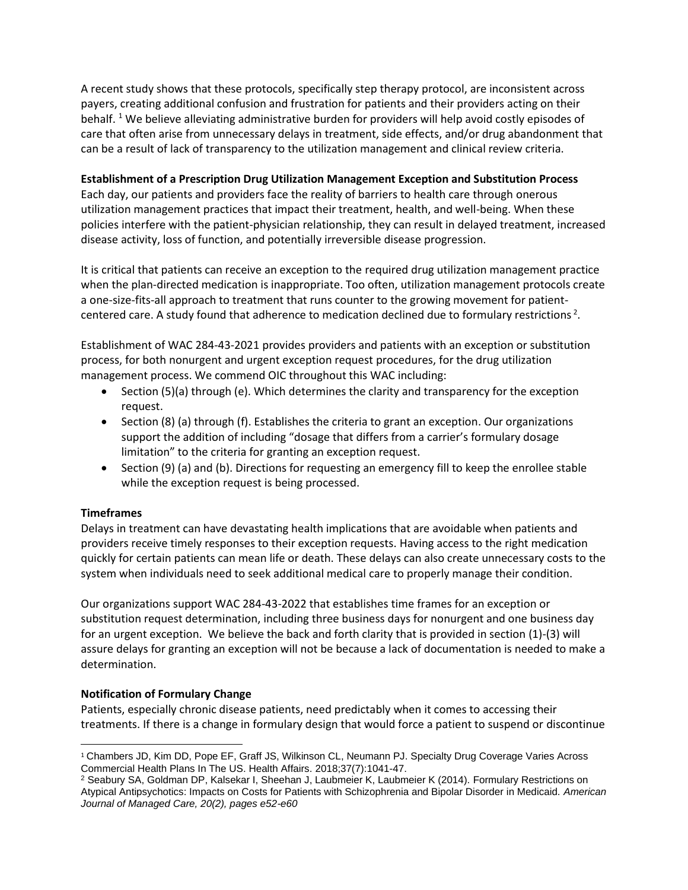A recent study shows that these protocols, specifically step therapy protocol, are inconsistent across payers, creating additional confusion and frustration for patients and their providers acting on their behalf. <sup>1</sup> We believe alleviating administrative burden for providers will help avoid costly episodes of care that often arise from unnecessary delays in treatment, side effects, and/or drug abandonment that can be a result of lack of transparency to the utilization management and clinical review criteria.

## **Establishment of a Prescription Drug Utilization Management Exception and Substitution Process**

Each day, our patients and providers face the reality of barriers to health care through onerous utilization management practices that impact their treatment, health, and well-being. When these policies interfere with the patient-physician relationship, they can result in delayed treatment, increased disease activity, loss of function, and potentially irreversible disease progression.

It is critical that patients can receive an exception to the required drug utilization management practice when the plan-directed medication is inappropriate. Too often, utilization management protocols create a one-size-fits-all approach to treatment that runs counter to the growing movement for patientcentered care. A study found that adherence to medication declined due to formulary restrictions<sup>2</sup>.

Establishment of WAC 284-43-2021 provides providers and patients with an exception or substitution process, for both nonurgent and urgent exception request procedures, for the drug utilization management process. We commend OIC throughout this WAC including:

- Section (5)(a) through (e). Which determines the clarity and transparency for the exception request.
- Section (8) (a) through (f). Establishes the criteria to grant an exception. Our organizations support the addition of including "dosage that differs from a carrier's formulary dosage limitation" to the criteria for granting an exception request.
- Section (9) (a) and (b). Directions for requesting an emergency fill to keep the enrollee stable while the exception request is being processed.

# **Timeframes**

Delays in treatment can have devastating health implications that are avoidable when patients and providers receive timely responses to their exception requests. Having access to the right medication quickly for certain patients can mean life or death. These delays can also create unnecessary costs to the system when individuals need to seek additional medical care to properly manage their condition.

Our organizations support WAC 284-43-2022 that establishes time frames for an exception or substitution request determination, including three business days for nonurgent and one business day for an urgent exception. We believe the back and forth clarity that is provided in section (1)-(3) will assure delays for granting an exception will not be because a lack of documentation is needed to make a determination.

### **Notification of Formulary Change**

Patients, especially chronic disease patients, need predictably when it comes to accessing their treatments. If there is a change in formulary design that would force a patient to suspend or discontinue

<sup>&</sup>lt;sup>1</sup> Chambers JD, Kim DD, Pope EF, Graff JS, Wilkinson CL, Neumann PJ. Specialty Drug Coverage Varies Across Commercial Health Plans In The US. Health Affairs. 2018;37(7):1041-47.

<sup>2</sup> Seabury SA, Goldman DP, Kalsekar I, Sheehan J, Laubmeier K, Laubmeier K (2014). Formulary Restrictions on Atypical Antipsychotics: Impacts on Costs for Patients with Schizophrenia and Bipolar Disorder in Medicaid. *American Journal of Managed Care, 20(2), pages e52-e60*